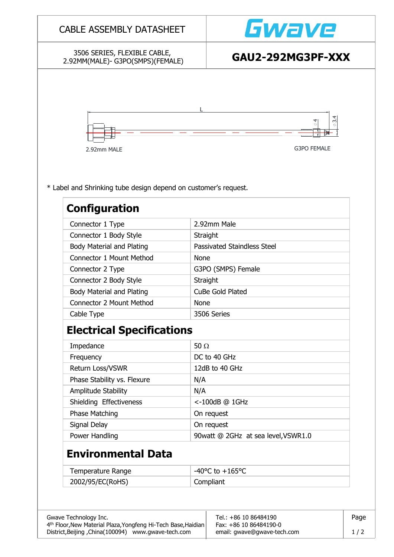| 3506 SERIES, FLEXIBLE CABLE,<br>2.92MM(MALE)-G3PO(SMPS)(FEMALE)                         | GAU2-292MG3PF-XXX                     |  |  |  |  |
|-----------------------------------------------------------------------------------------|---------------------------------------|--|--|--|--|
|                                                                                         |                                       |  |  |  |  |
|                                                                                         |                                       |  |  |  |  |
|                                                                                         | 4<br>m<br>$\phi$<br>$\Theta$          |  |  |  |  |
|                                                                                         |                                       |  |  |  |  |
| 2.92mm MALE                                                                             | G3PO FEMALE                           |  |  |  |  |
| * Label and Shrinking tube design depend on customer's request.<br><b>Configuration</b> |                                       |  |  |  |  |
| Connector 1 Type                                                                        | 2.92mm Male                           |  |  |  |  |
| Connector 1 Body Style                                                                  | Straight                              |  |  |  |  |
| <b>Body Material and Plating</b>                                                        | Passivated Staindless Steel           |  |  |  |  |
| Connector 1 Mount Method                                                                | <b>None</b>                           |  |  |  |  |
| Connector 2 Type                                                                        | G3PO (SMPS) Female                    |  |  |  |  |
| Connector 2 Body Style                                                                  | Straight                              |  |  |  |  |
| <b>Body Material and Plating</b>                                                        | CuBe Gold Plated                      |  |  |  |  |
| <b>Connector 2 Mount Method</b>                                                         | None                                  |  |  |  |  |
| 3506 Series<br>Cable Type                                                               |                                       |  |  |  |  |
| <b>Electrical Specifications</b>                                                        |                                       |  |  |  |  |
| Impedance                                                                               | 50 $\Omega$                           |  |  |  |  |
| Frequency                                                                               | DC to 40 GHz                          |  |  |  |  |
| Return Loss/VSWR                                                                        | 12dB to 40 GHz                        |  |  |  |  |
| Phase Stability vs. Flexure                                                             | N/A                                   |  |  |  |  |
|                                                                                         | N/A                                   |  |  |  |  |
| Amplitude Stability                                                                     |                                       |  |  |  |  |
| Shielding Effectiveness                                                                 | <-100dB @ 1GHz                        |  |  |  |  |
| Phase Matching                                                                          | On request                            |  |  |  |  |
| Signal Delay                                                                            | On request                            |  |  |  |  |
| Power Handling                                                                          | 90watt @ 2GHz at sea level, VSWR1.0   |  |  |  |  |
| <b>Environmental Data</b>                                                               |                                       |  |  |  |  |
| Temperature Range                                                                       | -40 $^{\circ}$ C to +165 $^{\circ}$ C |  |  |  |  |

District,Beijing ,China(100094) www.gwave-tech.com email: gwave@gwave-tech.com 1 / 2